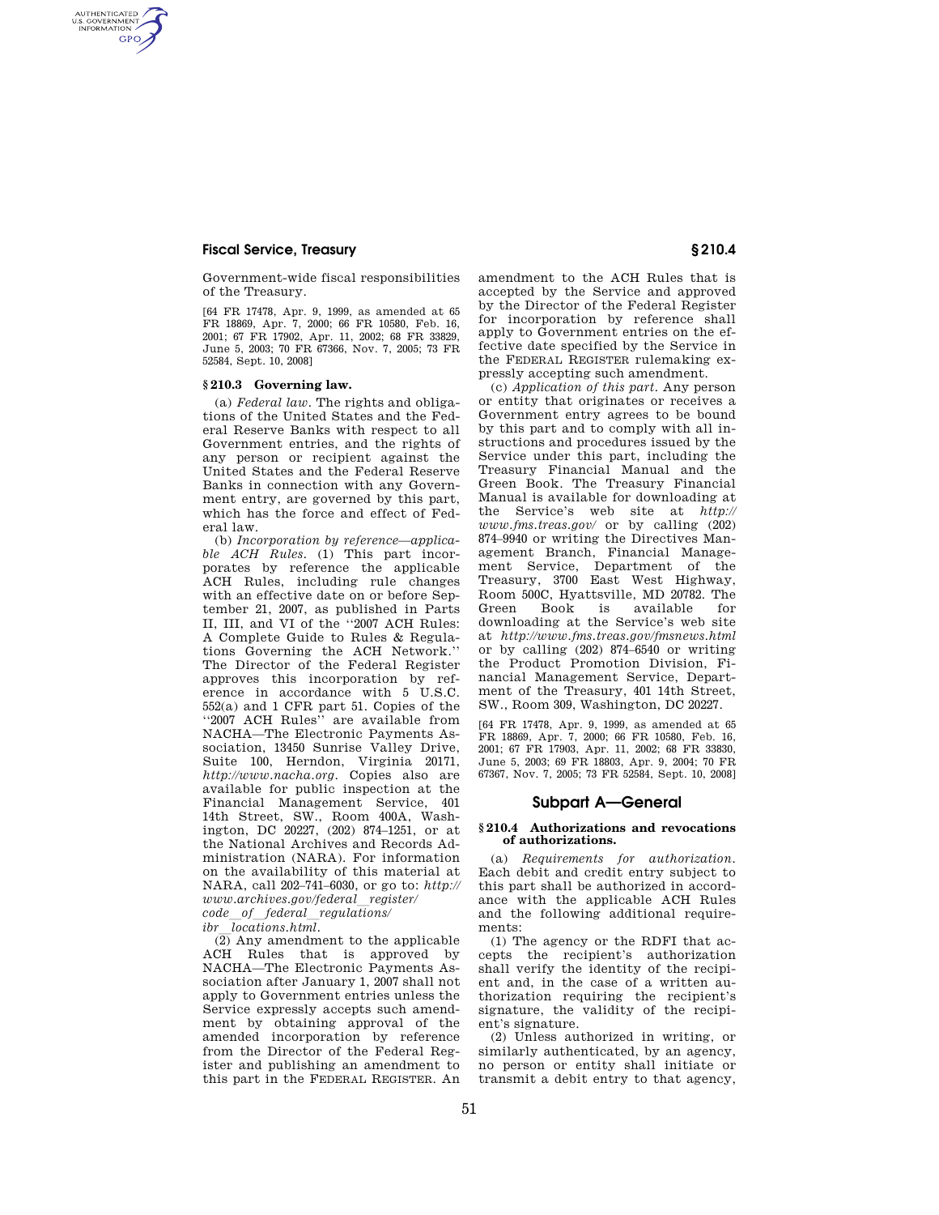# **Fiscal Service, Treasury § 210.4**

AUTHENTICATED<br>U.S. GOVERNMENT<br>INFORMATION **GPO** 

> Government-wide fiscal responsibilities of the Treasury.

> [64 FR 17478, Apr. 9, 1999, as amended at 65 FR 18869, Apr. 7, 2000; 66 FR 10580, Feb. 16, 2001; 67 FR 17902, Apr. 11, 2002; 68 FR 33829, June 5, 2003; 70 FR 67366, Nov. 7, 2005; 73 FR 52584, Sept. 10, 2008]

### **§ 210.3 Governing law.**

(a) *Federal law.* The rights and obligations of the United States and the Federal Reserve Banks with respect to all Government entries, and the rights of any person or recipient against the United States and the Federal Reserve Banks in connection with any Government entry, are governed by this part, which has the force and effect of Federal law.

(b) *Incorporation by reference—applicable ACH Rules.* (1) This part incorporates by reference the applicable ACH Rules, including rule changes with an effective date on or before September 21, 2007, as published in Parts II, III, and VI of the ''2007 ACH Rules: A Complete Guide to Rules & Regulations Governing the ACH Network.'' The Director of the Federal Register approves this incorporation by reference in accordance with 5 U.S.C. 552(a) and 1 CFR part 51. Copies of the ''2007 ACH Rules'' are available from NACHA—The Electronic Payments Association, 13450 Sunrise Valley Drive, Suite 100, Herndon, Virginia 20171, *http://www.nacha.org*. Copies also are available for public inspection at the Financial Management Service, 401 14th Street, SW., Room 400A, Washington, DC 20227, (202) 874–1251, or at the National Archives and Records Administration (NARA). For information on the availability of this material at NARA, call 202–741–6030, or go to: *http:// www.archives.gov/federal*l*register/ code*l*of*l*federal*l*regulations/* 

*ibr locations.html.* 

 $\overline{(2)}$  Any amendment to the applicable ACH Rules that is approved by NACHA—The Electronic Payments Association after January 1, 2007 shall not apply to Government entries unless the Service expressly accepts such amendment by obtaining approval of the amended incorporation by reference from the Director of the Federal Register and publishing an amendment to this part in the FEDERAL REGISTER. An

amendment to the ACH Rules that is accepted by the Service and approved by the Director of the Federal Register for incorporation by reference shall apply to Government entries on the effective date specified by the Service in the FEDERAL REGISTER rulemaking expressly accepting such amendment.

(c) *Application of this part.* Any person or entity that originates or receives a Government entry agrees to be bound by this part and to comply with all instructions and procedures issued by the Service under this part, including the Treasury Financial Manual and the Green Book. The Treasury Financial Manual is available for downloading at the Service's web site at *http:// www.fms.treas.gov/* or by calling (202) 874–9940 or writing the Directives Management Branch, Financial Management Service, Department of the Treasury, 3700 East West Highway, Room 500C, Hyattsville, MD 20782. The Green Book is available for downloading at the Service's web site at *http://www.fms.treas.gov/fmsnews.html*  or by calling (202) 874–6540 or writing the Product Promotion Division, Financial Management Service, Department of the Treasury, 401 14th Street, SW., Room 309, Washington, DC 20227.

[64 FR 17478, Apr. 9, 1999, as amended at 65 FR 18869, Apr. 7, 2000; 66 FR 10580, Feb. 16, 2001; 67 FR 17903, Apr. 11, 2002; 68 FR 33830, June 5, 2003; 69 FR 18803, Apr. 9, 2004; 70 FR 67367, Nov. 7, 2005; 73 FR 52584, Sept. 10, 2008]

## **Subpart A—General**

### **§ 210.4 Authorizations and revocations of authorizations.**

(a) *Requirements for authorization.*  Each debit and credit entry subject to this part shall be authorized in accordance with the applicable ACH Rules and the following additional requirements:

(1) The agency or the RDFI that accepts the recipient's authorization shall verify the identity of the recipient and, in the case of a written authorization requiring the recipient's signature, the validity of the recipient's signature.

(2) Unless authorized in writing, or similarly authenticated, by an agency, no person or entity shall initiate or transmit a debit entry to that agency,